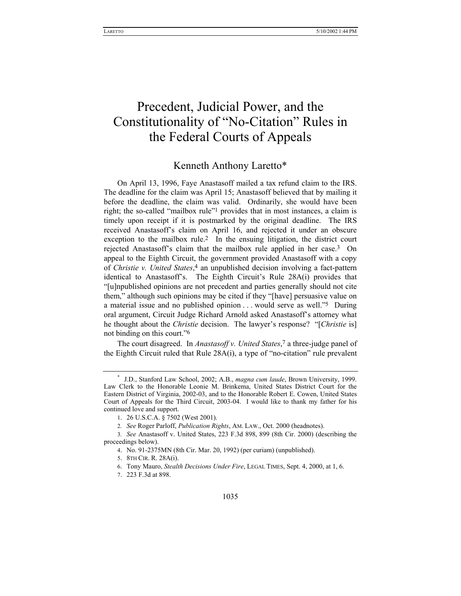# Precedent, Judicial Power, and the Constitutionality of "No-Citation" Rules in the Federal Courts of Appeals

# Kenneth Anthony Laretto\*

On April 13, 1996, Faye Anastasoff mailed a tax refund claim to the IRS. The deadline for the claim was April 15; Anastasoff believed that by mailing it before the deadline, the claim was valid. Ordinarily, she would have been right; the so-called "mailbox rule"<sup>1</sup> provides that in most instances, a claim is timely upon receipt if it is postmarked by the original deadline. The IRS received Anastasoffís claim on April 16, and rejected it under an obscure exception to the mailbox rule.<sup>2</sup> In the ensuing litigation, the district court rejected Anastasoff's claim that the mailbox rule applied in her case.<sup>3</sup> On appeal to the Eighth Circuit, the government provided Anastasoff with a copy of *Christie v. United States*,4 an unpublished decision involving a fact-pattern identical to Anastasoff's. The Eighth Circuit's Rule 28A(i) provides that ì[u]npublished opinions are not precedent and parties generally should not cite them," although such opinions may be cited if they "[have] persuasive value on a material issue and no published opinion  $\dots$  would serve as well.<sup>75</sup> During oral argument, Circuit Judge Richard Arnold asked Anastasoff's attorney what he thought about the *Christie* decision. The lawyer's response? "[*Christie* is] not binding on this court.<sup> $16$ </sup>

The court disagreed. In *Anastasoff v. United States*<sup>7</sup> a three-judge panel of the Eighth Circuit ruled that Rule  $28A(i)$ , a type of "no-citation" rule prevalent

<sup>\*</sup> J.D., Stanford Law School, 2002; A.B., *magna cum laude*, Brown University, 1999. Law Clerk to the Honorable Leonie M. Brinkema, United States District Court for the Eastern District of Virginia, 2002-03, and to the Honorable Robert E. Cowen, United States Court of Appeals for the Third Circuit, 2003-04. I would like to thank my father for his continued love and support.

<sup>1. 26</sup> U.S.C.A. ß 7502 (West 2001).

<sup>2</sup>*. See* Roger Parloff, *Publication Rights*, AM. LAW., Oct. 2000 (headnotes).

<sup>3</sup>*. See* Anastasoff v. United States, 223 F.3d 898, 899 (8th Cir. 2000) (describing the proceedings below).

<sup>4.</sup> No. 91-2375MN (8th Cir. Mar. 20, 1992) (per curiam) (unpublished).

<sup>5. 8</sup>TH CIR. R. 28A(i).

<sup>6.</sup> Tony Mauro, *Stealth Decisions Under Fire*, LEGAL TIMES, Sept. 4, 2000, at 1, 6.

<sup>7. 223</sup> F.3d at 898.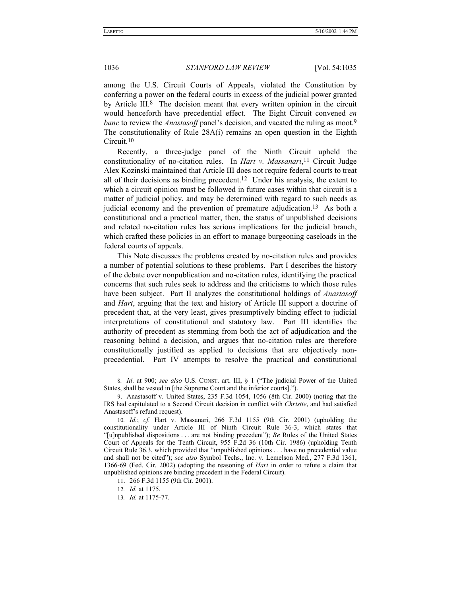among the U.S. Circuit Courts of Appeals, violated the Constitution by conferring a power on the federal courts in excess of the judicial power granted by Article III.<sup>8</sup> The decision meant that every written opinion in the circuit would henceforth have precedential effect. The Eight Circuit convened *en banc* to review the *Anastasoff* panel's decision, and vacated the ruling as moot.<sup>9</sup> The constitutionality of Rule 28A(i) remains an open question in the Eighth Circuit.10

Recently, a three-judge panel of the Ninth Circuit upheld the constitutionality of no-citation rules. In *Hart v. Massanari*,11 Circuit Judge Alex Kozinski maintained that Article III does not require federal courts to treat all of their decisions as binding precedent.12 Under his analysis, the extent to which a circuit opinion must be followed in future cases within that circuit is a matter of judicial policy, and may be determined with regard to such needs as judicial economy and the prevention of premature adjudication.<sup>13</sup> As both a constitutional and a practical matter, then, the status of unpublished decisions and related no-citation rules has serious implications for the judicial branch, which crafted these policies in an effort to manage burgeoning caseloads in the federal courts of appeals.

This Note discusses the problems created by no-citation rules and provides a number of potential solutions to these problems. Part I describes the history of the debate over nonpublication and no-citation rules, identifying the practical concerns that such rules seek to address and the criticisms to which those rules have been subject. Part II analyzes the constitutional holdings of *Anastasoff* and *Hart*, arguing that the text and history of Article III support a doctrine of precedent that, at the very least, gives presumptively binding effect to judicial interpretations of constitutional and statutory law. Part III identifies the authority of precedent as stemming from both the act of adjudication and the reasoning behind a decision, and argues that no-citation rules are therefore constitutionally justified as applied to decisions that are objectively nonprecedential. Part IV attempts to resolve the practical and constitutional

<sup>8.</sup> Id. at 900; see also U.S. CONST. art. III, § 1 ("The judicial Power of the United States, shall be vested in [the Supreme Court and the inferior courts].").

<sup>9.</sup> Anastasoff v. United States, 235 F.3d 1054, 1056 (8th Cir. 2000) (noting that the IRS had capitulated to a Second Circuit decision in conflict with *Christie*, and had satisfied Anastasoff's refund request).

<sup>10</sup>*. Id.*; *cf.* Hart v. Massanari, 266 F.3d 1155 (9th Cir. 2001) (upholding the constitutionality under Article III of Ninth Circuit Rule 36-3, which states that ì[u]npublished dispositions . . . are not binding precedentî); *Re* Rules of the United States Court of Appeals for the Tenth Circuit, 955 F.2d 36 (10th Cir. 1986) (upholding Tenth Circuit Rule 36.3, which provided that "unpublished opinions  $\dots$  have no precedential value and shall not be citedî); *see also* Symbol Techs., Inc. v. Lemelson Med., 277 F.3d 1361, 1366-69 (Fed. Cir. 2002) (adopting the reasoning of *Hart* in order to refute a claim that unpublished opinions are binding precedent in the Federal Circuit).

<sup>11. 266</sup> F.3d 1155 (9th Cir. 2001).

<sup>12</sup>*. Id.* at 1175.

<sup>13</sup>*. Id.* at 1175-77.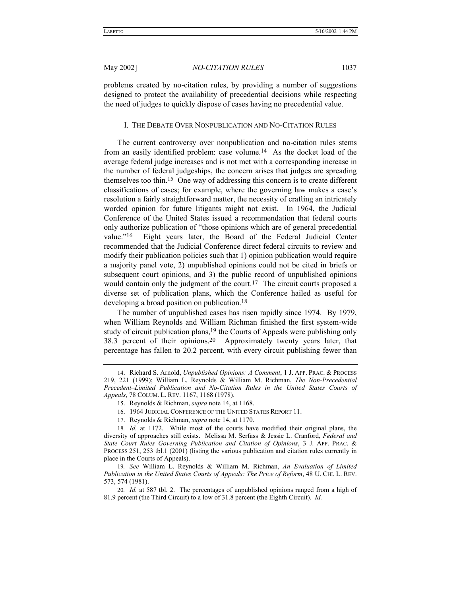problems created by no-citation rules, by providing a number of suggestions designed to protect the availability of precedential decisions while respecting the need of judges to quickly dispose of cases having no precedential value.

# I. THE DEBATE OVER NONPUBLICATION AND NO-CITATION RULES

The current controversy over nonpublication and no-citation rules stems from an easily identified problem: case volume.14 As the docket load of the average federal judge increases and is not met with a corresponding increase in the number of federal judgeships, the concern arises that judges are spreading themselves too thin.15 One way of addressing this concern is to create different classifications of cases; for example, where the governing law makes a case's resolution a fairly straightforward matter, the necessity of crafting an intricately worded opinion for future litigants might not exist. In 1964, the Judicial Conference of the United States issued a recommendation that federal courts only authorize publication of "those opinions which are of general precedential value.<sup>nto</sup> Eight years later, the Board of the Federal Judicial Center recommended that the Judicial Conference direct federal circuits to review and modify their publication policies such that 1) opinion publication would require a majority panel vote, 2) unpublished opinions could not be cited in briefs or subsequent court opinions, and 3) the public record of unpublished opinions would contain only the judgment of the court.<sup>17</sup> The circuit courts proposed a diverse set of publication plans, which the Conference hailed as useful for developing a broad position on publication.18

The number of unpublished cases has risen rapidly since 1974. By 1979, when William Reynolds and William Richman finished the first system-wide study of circuit publication plans,<sup>19</sup> the Courts of Appeals were publishing only 38.3 percent of their opinions.20 Approximately twenty years later, that percentage has fallen to 20.2 percent, with every circuit publishing fewer than

- 16. 1964 JUDICIAL CONFERENCE OF THE UNITED STATES REPORT 11.
- 17. Reynolds & Richman, *supra* note 14, at 1170.

<sup>14.</sup> Richard S. Arnold, *Unpublished Opinions: A Comment*, 1 J. APP. PRAC. & PROCESS 219, 221 (1999); William L. Reynolds & William M. Richman, *The Non-Precedential Precedent-Limited Publication and No-Citation Rules in the United States Courts of Appeals*, 78 COLUM. L. REV. 1167, 1168 (1978).

<sup>15.</sup> Reynolds & Richman, *supra* note 14, at 1168.

<sup>18</sup>*. Id.* at 1172. While most of the courts have modified their original plans, the diversity of approaches still exists. Melissa M. Serfass & Jessie L. Cranford, *Federal and State Court Rules Governing Publication and Citation of Opinions*, 3 J. APP. PRAC. & PROCESS 251, 253 tbl.1 (2001) (listing the various publication and citation rules currently in place in the Courts of Appeals).

<sup>19</sup>*. See* William L. Reynolds & William M. Richman, *An Evaluation of Limited Publication in the United States Courts of Appeals: The Price of Reform*, 48 U. CHI. L. REV. 573, 574 (1981).

<sup>20</sup>*. Id.* at 587 tbl. 2. The percentages of unpublished opinions ranged from a high of 81.9 percent (the Third Circuit) to a low of 31.8 percent (the Eighth Circuit). *Id.*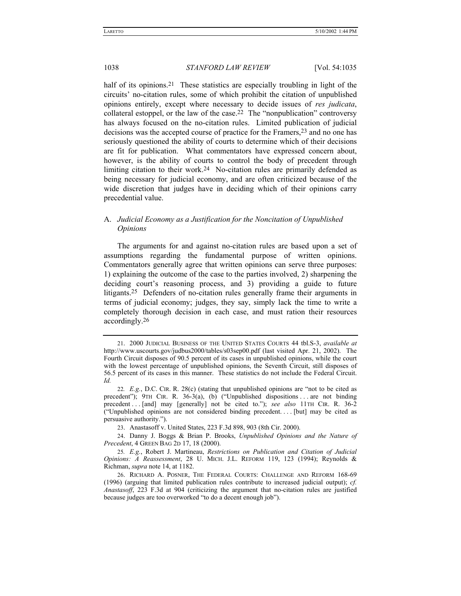half of its opinions.<sup>21</sup> These statistics are especially troubling in light of the circuits' no-citation rules, some of which prohibit the citation of unpublished opinions entirely, except where necessary to decide issues of *res judicata*, collateral estoppel, or the law of the case.<sup>22</sup> The "nonpublication" controversy has always focused on the no-citation rules. Limited publication of judicial decisions was the accepted course of practice for the Framers,23 and no one has seriously questioned the ability of courts to determine which of their decisions are fit for publication. What commentators have expressed concern about, however, is the ability of courts to control the body of precedent through limiting citation to their work.24 No-citation rules are primarily defended as being necessary for judicial economy, and are often criticized because of the wide discretion that judges have in deciding which of their opinions carry precedential value.

# A. *Judicial Economy as a Justification for the Noncitation of Unpublished Opinions*

The arguments for and against no-citation rules are based upon a set of assumptions regarding the fundamental purpose of written opinions. Commentators generally agree that written opinions can serve three purposes: 1) explaining the outcome of the case to the parties involved, 2) sharpening the deciding court's reasoning process, and 3) providing a guide to future litigants.25 Defenders of no-citation rules generally frame their arguments in terms of judicial economy; judges, they say, simply lack the time to write a completely thorough decision in each case, and must ration their resources accordingly.26

<sup>21. 2000</sup> JUDICIAL BUSINESS OF THE UNITED STATES COURTS 44 tbl.S-3, *available at*  http://www.uscourts.gov/judbus2000/tables/s03sep00.pdf (last visited Apr. 21, 2002). The Fourth Circuit disposes of 90.5 percent of its cases in unpublished opinions, while the court with the lowest percentage of unpublished opinions, the Seventh Circuit, still disposes of 56.5 percent of its cases in this manner. These statistics do not include the Federal Circuit. *Id.*

<sup>22.</sup>  $E.g., D.C. CIR. R. 28(c)$  (stating that unpublished opinions are "not to be cited as precedent");  $9TH$  CIR. R. 36-3(a), (b) ("Unpublished dispositions ... are not binding precedent . . . [and] may [generally] not be cited to."); *see also* 11TH CIR. R. 36-2 (ìUnpublished opinions are not considered binding precedent. . . . [but] may be cited as persuasive authority.").

<sup>23.</sup> Anastasoff v. United States, 223 F.3d 898, 903 (8th Cir. 2000).

<sup>24.</sup> Danny J. Boggs & Brian P. Brooks, *Unpublished Opinions and the Nature of Precedent*, 4 GREEN BAG 2D 17, 18 (2000).

<sup>25</sup>*. E.g.*, Robert J. Martineau, *Restrictions on Publication and Citation of Judicial Opinions: A Reassessment*, 28 U. MICH. J.L. REFORM 119, 123 (1994); Reynolds & Richman, *supra* note 14, at 1182.

<sup>26.</sup> RICHARD A. POSNER, THE FEDERAL COURTS: CHALLENGE AND REFORM 168-69 (1996) (arguing that limited publication rules contribute to increased judicial output); *cf. Anastasoff*, 223 F.3d at 904 (criticizing the argument that no-citation rules are justified because judges are too overworked "to do a decent enough job").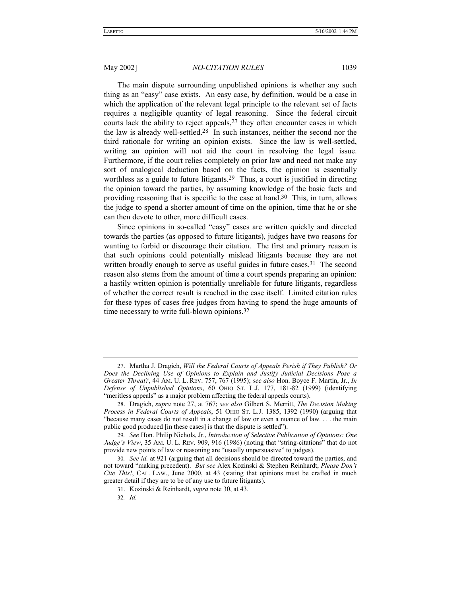The main dispute surrounding unpublished opinions is whether any such thing as an "easy" case exists. An easy case, by definition, would be a case in which the application of the relevant legal principle to the relevant set of facts requires a negligible quantity of legal reasoning. Since the federal circuit courts lack the ability to reject appeals,  $27$  they often encounter cases in which the law is already well-settled.28 In such instances, neither the second nor the third rationale for writing an opinion exists. Since the law is well-settled, writing an opinion will not aid the court in resolving the legal issue. Furthermore, if the court relies completely on prior law and need not make any sort of analogical deduction based on the facts, the opinion is essentially worthless as a guide to future litigants.29 Thus, a court is justified in directing the opinion toward the parties, by assuming knowledge of the basic facts and providing reasoning that is specific to the case at hand.30 This, in turn, allows the judge to spend a shorter amount of time on the opinion, time that he or she can then devote to other, more difficult cases.

Since opinions in so-called "easy" cases are written quickly and directed towards the parties (as opposed to future litigants), judges have two reasons for wanting to forbid or discourage their citation. The first and primary reason is that such opinions could potentially mislead litigants because they are not written broadly enough to serve as useful guides in future cases.<sup>31</sup> The second reason also stems from the amount of time a court spends preparing an opinion: a hastily written opinion is potentially unreliable for future litigants, regardless of whether the correct result is reached in the case itself. Limited citation rules for these types of cases free judges from having to spend the huge amounts of time necessary to write full-blown opinions.32

<sup>27.</sup> Martha J. Dragich, *Will the Federal Courts of Appeals Perish if They Publish? Or Does the Declining Use of Opinions to Explain and Justify Judicial Decisions Pose a Greater Threat?*, 44 AM. U. L. REV. 757, 767 (1995); *see also* Hon. Boyce F. Martin, Jr., *In Defense of Unpublished Opinions*, 60 OHIO ST. L.J. 177, 181-82 (1999) (identifying "meritless appeals" as a major problem affecting the federal appeals courts).

<sup>28.</sup> Dragich, *supra* note 27, at 767; *see also* Gilbert S. Merritt, *The Decision Making Process in Federal Courts of Appeals*, 51 OHIO ST. L.J. 1385, 1392 (1990) (arguing that  $\degree$  because many cases do not result in a change of law or even a nuance of law.  $\dots$  the main public good produced [in these cases] is that the dispute is settled").

<sup>29</sup>*. See* Hon. Philip Nichols, Jr., *Introduction of Selective Publication of Opinions: One Judge's View*, 35 AM. U. L. REV. 909, 916 (1986) (noting that "string-citations" that do not provide new points of law or reasoning are "usually unpersuasive" to judges).

<sup>30</sup>*. See id.* at 921 (arguing that all decisions should be directed toward the parties, and not toward ìmaking precedent). *But see* Alex Kozinski & Stephen Reinhardt, *Please Donít Cite This!*, CAL. LAW., June 2000, at 43 (stating that opinions must be crafted in much greater detail if they are to be of any use to future litigants).

<sup>31.</sup> Kozinski & Reinhardt, *supra* note 30, at 43.

<sup>32</sup>*. Id.*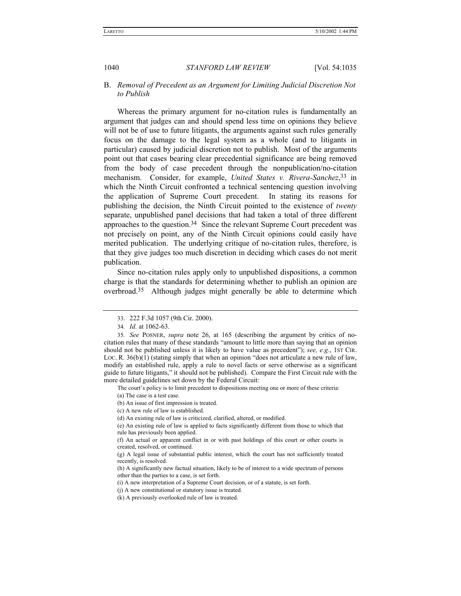# B. *Removal of Precedent as an Argument for Limiting Judicial Discretion Not to Publish*

Whereas the primary argument for no-citation rules is fundamentally an argument that judges can and should spend less time on opinions they believe will not be of use to future litigants, the arguments against such rules generally focus on the damage to the legal system as a whole (and to litigants in particular) caused by judicial discretion not to publish. Most of the arguments point out that cases bearing clear precedential significance are being removed from the body of case precedent through the nonpublication/no-citation mechanism. Consider, for example, *United States v. Rivera-Sanchez*,33 in which the Ninth Circuit confronted a technical sentencing question involving the application of Supreme Court precedent. In stating its reasons for publishing the decision, the Ninth Circuit pointed to the existence of *twenty* separate, unpublished panel decisions that had taken a total of three different approaches to the question.34 Since the relevant Supreme Court precedent was not precisely on point, any of the Ninth Circuit opinions could easily have merited publication. The underlying critique of no-citation rules, therefore, is that they give judges too much discretion in deciding which cases do not merit publication.

Since no-citation rules apply only to unpublished dispositions, a common charge is that the standards for determining whether to publish an opinion are overbroad.35 Although judges might generally be able to determine which

The court's policy is to limit precedent to dispositions meeting one or more of these criteria:

<sup>33. 222</sup> F.3d 1057 (9th Cir. 2000).

<sup>34</sup>*. Id.* at 1062-63.

<sup>35</sup>*. See* POSNER, *supra* note 26, at 165 (describing the argument by critics of nocitation rules that many of these standards "amount to little more than saying that an opinion should not be published unless it is likely to have value as precedent"); *see, e.g.*, 1ST CIR. Loc. R.  $36(b)(1)$  (stating simply that when an opinion "does not articulate a new rule of law, modify an established rule, apply a rule to novel facts or serve otherwise as a significant guide to future litigants," it should not be published). Compare the First Circuit rule with the more detailed guidelines set down by the Federal Circuit:

<sup>(</sup>a) The case is a test case.

<sup>(</sup>b) An issue of first impression is treated.

<sup>(</sup>c) A new rule of law is established.

<sup>(</sup>d) An existing rule of law is criticized, clarified, altered, or modified.

<sup>(</sup>e) An existing rule of law is applied to facts significantly different from those to which that rule has previously been applied.

<sup>(</sup>f) An actual or apparent conflict in or with past holdings of this court or other courts is created, resolved, or continued.

<sup>(</sup>g) A legal issue of substantial public interest, which the court has not sufficiently treated recently, is resolved.

<sup>(</sup>h) A significantly new factual situation, likely to be of interest to a wide spectrum of persons other than the parties to a case, is set forth.

<sup>(</sup>i) A new interpretation of a Supreme Court decision, or of a statute, is set forth.

<sup>(</sup>j) A new constitutional or statutory issue is treated.

<sup>(</sup>k) A previously overlooked rule of law is treated.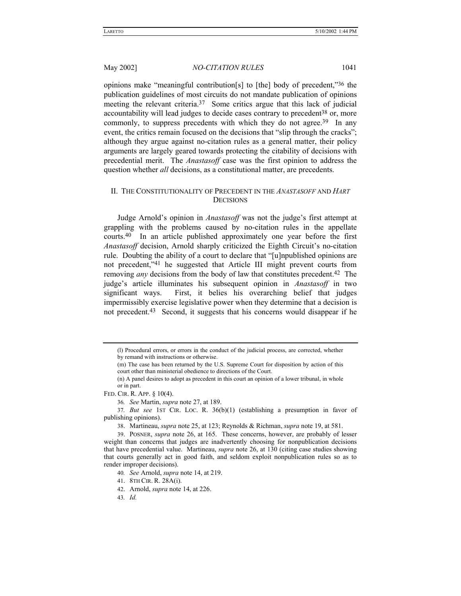opinions make "meaningful contribution[s] to [the] body of precedent, $36$  the publication guidelines of most circuits do not mandate publication of opinions meeting the relevant criteria.<sup>37</sup> Some critics argue that this lack of judicial accountability will lead judges to decide cases contrary to precedent<sup>38</sup> or, more commonly, to suppress precedents with which they do not agree.<sup>39</sup> In any event, the critics remain focused on the decisions that "slip through the cracks"; although they argue against no-citation rules as a general matter, their policy arguments are largely geared towards protecting the citability of decisions with precedential merit. The *Anastasoff* case was the first opinion to address the question whether *all* decisions, as a constitutional matter, are precedents.

# II. THE CONSTITUTIONALITY OF PRECEDENT IN THE *ANASTASOFF* AND *HART* **DECISIONS**

Judge Arnold's opinion in *Anastasoff* was not the judge's first attempt at grappling with the problems caused by no-citation rules in the appellate courts.40 In an article published approximately one year before the first *Anastasoff* decision, Arnold sharply criticized the Eighth Circuit's no-citation rule. Doubting the ability of a court to declare that "[u]npublished opinions are not precedent,"<sup>41</sup> he suggested that Article III might prevent courts from removing *any* decisions from the body of law that constitutes precedent.42 The judge's article illuminates his subsequent opinion in *Anastasoff* in two significant ways. First, it belies his overarching belief that judges impermissibly exercise legislative power when they determine that a decision is not precedent.43 Second, it suggests that his concerns would disappear if he

43*. Id.*

<sup>(</sup>l) Procedural errors, or errors in the conduct of the judicial process, are corrected, whether by remand with instructions or otherwise.

<sup>(</sup>m) The case has been returned by the U.S. Supreme Court for disposition by action of this court other than ministerial obedience to directions of the Court.

<sup>(</sup>n) A panel desires to adopt as precedent in this court an opinion of a lower tribunal, in whole or in part.

FED. CIR. R. APP. ß 10(4).

<sup>36</sup>*. See* Martin, *supra* note 27, at 189.

<sup>37</sup>*. But see* 1ST CIR. LOC. R. 36(b)(1) (establishing a presumption in favor of publishing opinions).

<sup>38.</sup> Martineau, *supra* note 25, at 123; Reynolds & Richman, *supra* note 19, at 581.

<sup>39.</sup> POSNER, *supra* note 26, at 165. These concerns, however, are probably of lesser weight than concerns that judges are inadvertently choosing for nonpublication decisions that have precedential value. Martineau, *supra* note 26, at 130 (citing case studies showing that courts generally act in good faith, and seldom exploit nonpublication rules so as to render improper decisions).

<sup>40</sup>*. See* Arnold, *supra* note 14, at 219.

<sup>41. 8</sup>TH CIR. R. 28A(i).

<sup>42.</sup> Arnold, *supra* note 14, at 226.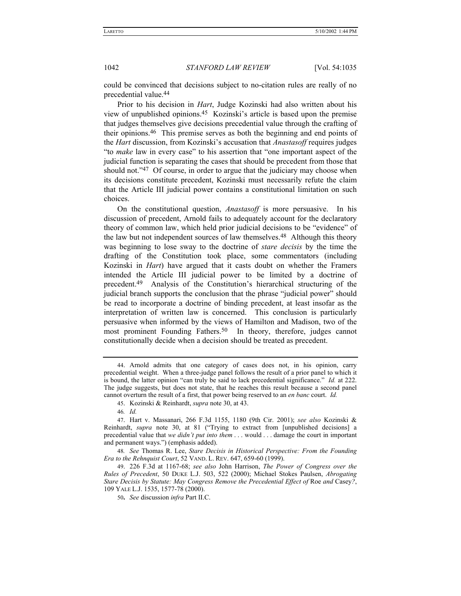could be convinced that decisions subject to no-citation rules are really of no precedential value.44

Prior to his decision in *Hart*, Judge Kozinski had also written about his view of unpublished opinions.<sup>45</sup> Kozinski's article is based upon the premise that judges themselves give decisions precedential value through the crafting of their opinions.46 This premise serves as both the beginning and end points of the *Hart* discussion, from Kozinski's accusation that *Anastasoff* requires judges "to *make* law in every case" to his assertion that "one important aspect of the judicial function is separating the cases that should be precedent from those that should not.<sup>347</sup> Of course, in order to argue that the judiciary may choose when its decisions constitute precedent, Kozinski must necessarily refute the claim that the Article III judicial power contains a constitutional limitation on such choices.

On the constitutional question, *Anastasoff* is more persuasive. In his discussion of precedent, Arnold fails to adequately account for the declaratory theory of common law, which held prior judicial decisions to be "evidence" of the law but not independent sources of law themselves.48 Although this theory was beginning to lose sway to the doctrine of *stare decisis* by the time the drafting of the Constitution took place, some commentators (including Kozinski in *Hart*) have argued that it casts doubt on whether the Framers intended the Article III judicial power to be limited by a doctrine of precedent.<sup>49</sup> Analysis of the Constitution's hierarchical structuring of the judicial branch supports the conclusion that the phrase "judicial power" should be read to incorporate a doctrine of binding precedent, at least insofar as the interpretation of written law is concerned. This conclusion is particularly persuasive when informed by the views of Hamilton and Madison, two of the most prominent Founding Fathers.<sup>50</sup> In theory, therefore, judges cannot constitutionally decide when a decision should be treated as precedent.

48*. See* Thomas R. Lee, *Stare Decisis in Historical Perspective: From the Founding Era to the Rehnquist Court*, 52 VAND. L. REV. 647, 659-60 (1999).

<sup>44.</sup> Arnold admits that one category of cases does not, in his opinion, carry precedential weight. When a three-judge panel follows the result of a prior panel to which it is bound, the latter opinion "can truly be said to lack precedential significance." *Id.* at 222. The judge suggests, but does not state, that he reaches this result because a second panel cannot overturn the result of a first, that power being reserved to an *en banc* court. *Id.*

<sup>45.</sup> Kozinski & Reinhardt, *supra* note 30, at 43.

<sup>46</sup>*. Id.*

<sup>47.</sup> Hart v. Massanari, 266 F.3d 1155, 1180 (9th Cir. 2001); *see also* Kozinski & Reinhardt, *supra* note 30, at 81 ("Trying to extract from [unpublished decisions] a precedential value that *we didnít put into them* . . . would . . . damage the court in important and permanent ways.") (emphasis added).

<sup>49. 226</sup> F.3d at 1167-68; *see also* John Harrison, *The Power of Congress over the Rules of Precedent*, 50 DUKE L.J. 503, 522 (2000); Michael Stokes Paulsen, *Abrogating Stare Decisis by Statute: May Congress Remove the Precedential Effect of* Roe *and* Casey*?*, 109 YALE L.J. 1535, 1577-78 (2000).

<sup>50</sup>**.** *See* discussion *infra* Part II.C.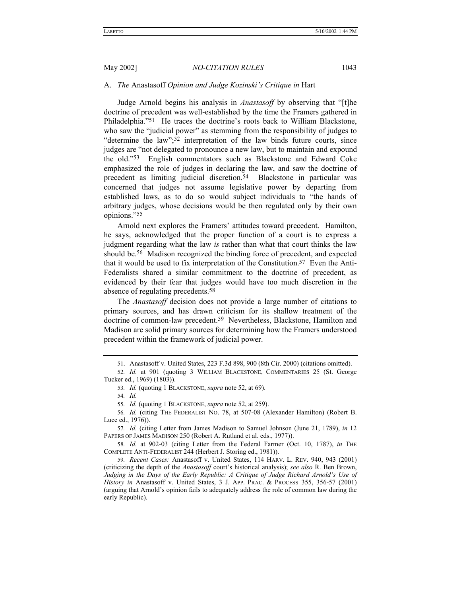### A. *The* Anastasoff *Opinion and Judge Kozinskiís Critique in* Hart

Judge Arnold begins his analysis in *Anastasoff* by observing that "[t]he doctrine of precedent was well-established by the time the Framers gathered in Philadelphia.<sup>751</sup> He traces the doctrine's roots back to William Blackstone, who saw the "judicial power" as stemming from the responsibility of judges to  $\degree$  determine the law";<sup>52</sup> interpretation of the law binds future courts, since judges are "not delegated to pronounce a new law, but to maintain and expound the old.î53 English commentators such as Blackstone and Edward Coke emphasized the role of judges in declaring the law, and saw the doctrine of precedent as limiting judicial discretion.<sup>54</sup> Blackstone in particular was concerned that judges not assume legislative power by departing from established laws, as to do so would subject individuals to "the hands of arbitrary judges, whose decisions would be then regulated only by their own opinions."55

Arnold next explores the Framers' attitudes toward precedent. Hamilton, he says, acknowledged that the proper function of a court is to express a judgment regarding what the law *is* rather than what that court thinks the law should be.56 Madison recognized the binding force of precedent, and expected that it would be used to fix interpretation of the Constitution.57 Even the Anti-Federalists shared a similar commitment to the doctrine of precedent, as evidenced by their fear that judges would have too much discretion in the absence of regulating precedents.58

The *Anastasoff* decision does not provide a large number of citations to primary sources, and has drawn criticism for its shallow treatment of the doctrine of common-law precedent.59 Nevertheless, Blackstone, Hamilton and Madison are solid primary sources for determining how the Framers understood precedent within the framework of judicial power.

<sup>51.</sup> Anastasoff v. United States, 223 F.3d 898, 900 (8th Cir. 2000) (citations omitted).

<sup>52</sup>*. Id.* at 901 (quoting 3 WILLIAM BLACKSTONE, COMMENTARIES 25 (St. George Tucker ed., 1969) (1803)).

<sup>53</sup>*. Id.* (quoting 1 BLACKSTONE, *supra* note 52, at 69).

<sup>54</sup>*. Id.*

<sup>55</sup>*. Id.* (quoting 1 BLACKSTONE, *supra* note 52, at 259).

<sup>56</sup>*. Id.* (citing THE FEDERALIST NO. 78, at 507-08 (Alexander Hamilton) (Robert B. Luce ed., 1976)).

<sup>57</sup>*. Id.* (citing Letter from James Madison to Samuel Johnson (June 21, 1789), *in* 12 PAPERS OF JAMES MADISON 250 (Robert A. Rutland et al. eds., 1977)).

<sup>58</sup>*. Id.* at 902-03 (citing Letter from the Federal Farmer (Oct. 10, 1787), *in* THE COMPLETE ANTI-FEDERALIST 244 (Herbert J. Storing ed., 1981)).

<sup>59</sup>*. Recent Cases:* Anastasoff v. United States, 114 HARV. L. REV. 940, 943 (2001) (criticizing the depth of the *Anastasoff* court's historical analysis); see also R. Ben Brown, Judging in the Days of the Early Republic: A Critique of Judge Richard Arnold's Use of *History in Anastasoff v. United States, 3 J. APP. PRAC. & PROCESS 355, 356-57 (2001)* (arguing that Arnold's opinion fails to adequately address the role of common law during the early Republic).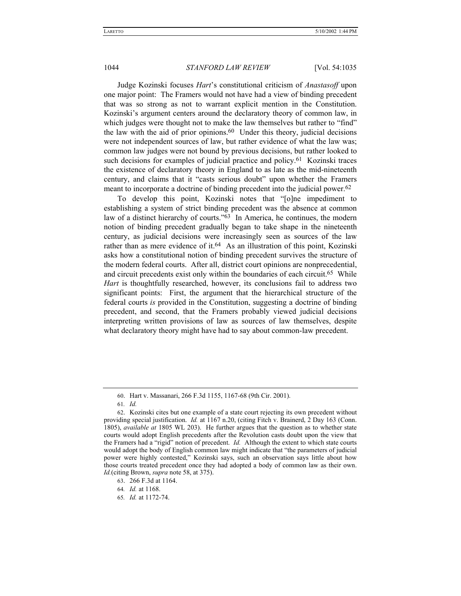Judge Kozinski focuses *Hart*ís constitutional criticism of *Anastasoff* upon one major point: The Framers would not have had a view of binding precedent that was so strong as not to warrant explicit mention in the Constitution. Kozinski's argument centers around the declaratory theory of common law, in which judges were thought not to make the law themselves but rather to "find" the law with the aid of prior opinions.<sup>60</sup> Under this theory, judicial decisions were not independent sources of law, but rather evidence of what the law was; common law judges were not bound by previous decisions, but rather looked to such decisions for examples of judicial practice and policy.<sup>61</sup> Kozinski traces the existence of declaratory theory in England to as late as the mid-nineteenth century, and claims that it "casts serious doubt" upon whether the Framers meant to incorporate a doctrine of binding precedent into the judicial power.62

To develop this point, Kozinski notes that "[o]ne impediment to establishing a system of strict binding precedent was the absence at common law of a distinct hierarchy of courts.<sup> $63$ </sup> In America, he continues, the modern notion of binding precedent gradually began to take shape in the nineteenth century, as judicial decisions were increasingly seen as sources of the law rather than as mere evidence of it.64 As an illustration of this point, Kozinski asks how a constitutional notion of binding precedent survives the structure of the modern federal courts. After all, district court opinions are nonprecedential, and circuit precedents exist only within the boundaries of each circuit.<sup>65</sup> While *Hart* is thoughtfully researched, however, its conclusions fail to address two significant points: First, the argument that the hierarchical structure of the federal courts *is* provided in the Constitution, suggesting a doctrine of binding precedent, and second, that the Framers probably viewed judicial decisions interpreting written provisions of law as sources of law themselves, despite what declaratory theory might have had to say about common-law precedent.

65*. Id.* at 1172-74.

<sup>60.</sup> Hart v. Massanari, 266 F.3d 1155, 1167-68 (9th Cir. 2001).

<sup>61</sup>*. Id.*

<sup>62.</sup> Kozinski cites but one example of a state court rejecting its own precedent without providing special justification. *Id.* at 1167 n.20, (citing Fitch v. Brainerd, 2 Day 163 (Conn. 1805), *available at* 1805 WL 203). He further argues that the question as to whether state courts would adopt English precedents after the Revolution casts doubt upon the view that the Framers had a "rigid" notion of precedent. *Id.* Although the extent to which state courts would adopt the body of English common law might indicate that "the parameters of judicial power were highly contested," Kozinski says, such an observation says little about how those courts treated precedent once they had adopted a body of common law as their own. *Id.*(citing Brown, *supra* note 58, at 375).

<sup>63. 266</sup> F.3d at 1164.

<sup>64</sup>*. Id.* at 1168.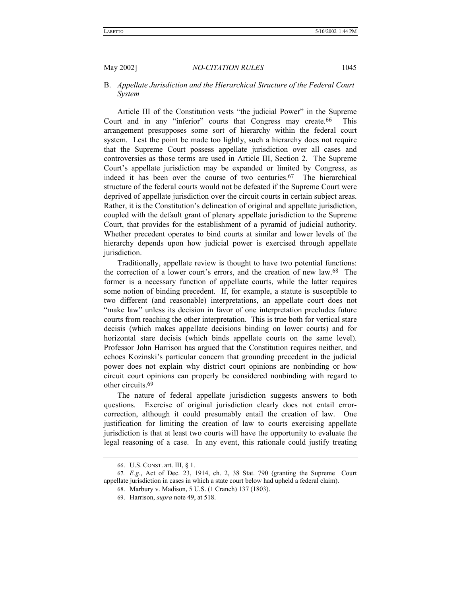# B. *Appellate Jurisdiction and the Hierarchical Structure of the Federal Court System*

Article III of the Constitution vests "the judicial Power" in the Supreme Court and in any "inferior" courts that Congress may create.<sup>66</sup> This arrangement presupposes some sort of hierarchy within the federal court system. Lest the point be made too lightly, such a hierarchy does not require that the Supreme Court possess appellate jurisdiction over all cases and controversies as those terms are used in Article III, Section 2. The Supreme Court's appellate jurisdiction may be expanded or limited by Congress, as indeed it has been over the course of two centuries.<sup>67</sup> The hierarchical structure of the federal courts would not be defeated if the Supreme Court were deprived of appellate jurisdiction over the circuit courts in certain subject areas. Rather, it is the Constitution's delineation of original and appellate jurisdiction, coupled with the default grant of plenary appellate jurisdiction to the Supreme Court, that provides for the establishment of a pyramid of judicial authority. Whether precedent operates to bind courts at similar and lower levels of the hierarchy depends upon how judicial power is exercised through appellate jurisdiction.

Traditionally, appellate review is thought to have two potential functions: the correction of a lower court's errors, and the creation of new law.<sup>68</sup> The former is a necessary function of appellate courts, while the latter requires some notion of binding precedent. If, for example, a statute is susceptible to two different (and reasonable) interpretations, an appellate court does not "make law" unless its decision in favor of one interpretation precludes future courts from reaching the other interpretation. This is true both for vertical stare decisis (which makes appellate decisions binding on lower courts) and for horizontal stare decisis (which binds appellate courts on the same level). Professor John Harrison has argued that the Constitution requires neither, and echoes Kozinski's particular concern that grounding precedent in the judicial power does not explain why district court opinions are nonbinding or how circuit court opinions can properly be considered nonbinding with regard to other circuits.69

The nature of federal appellate jurisdiction suggests answers to both questions. Exercise of original jurisdiction clearly does not entail errorcorrection, although it could presumably entail the creation of law. One justification for limiting the creation of law to courts exercising appellate jurisdiction is that at least two courts will have the opportunity to evaluate the legal reasoning of a case. In any event, this rationale could justify treating

<sup>66.</sup> U.S. CONST. art. III, ß 1.

<sup>67</sup>*. E.g.*, Act of Dec. 23, 1914, ch. 2, 38 Stat. 790 (granting the Supreme Court appellate jurisdiction in cases in which a state court below had upheld a federal claim).

<sup>68.</sup> Marbury v. Madison, 5 U.S. (1 Cranch) 137 (1803).

<sup>69.</sup> Harrison, *supra* note 49, at 518.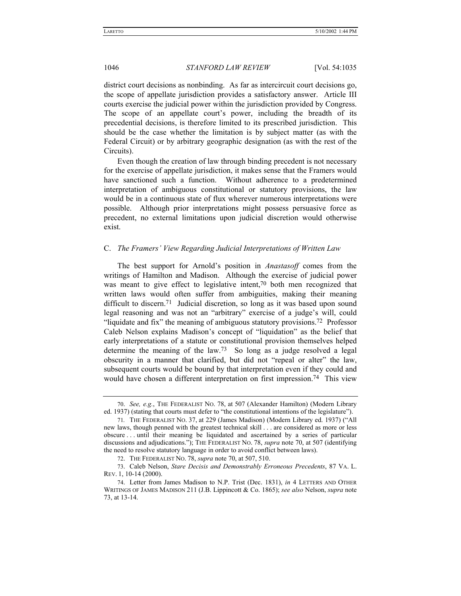district court decisions as nonbinding. As far as intercircuit court decisions go, the scope of appellate jurisdiction provides a satisfactory answer. Article III courts exercise the judicial power within the jurisdiction provided by Congress. The scope of an appellate court's power, including the breadth of its precedential decisions, is therefore limited to its prescribed jurisdiction. This should be the case whether the limitation is by subject matter (as with the Federal Circuit) or by arbitrary geographic designation (as with the rest of the Circuits).

Even though the creation of law through binding precedent is not necessary for the exercise of appellate jurisdiction, it makes sense that the Framers would have sanctioned such a function. Without adherence to a predetermined interpretation of ambiguous constitutional or statutory provisions, the law would be in a continuous state of flux wherever numerous interpretations were possible. Although prior interpretations might possess persuasive force as precedent, no external limitations upon judicial discretion would otherwise exist.

# C. *The Framersí View Regarding Judicial Interpretations of Written Law*

The best support for Arnold's position in *Anastasoff* comes from the writings of Hamilton and Madison. Although the exercise of judicial power was meant to give effect to legislative intent,<sup>70</sup> both men recognized that written laws would often suffer from ambiguities, making their meaning difficult to discern.71 Judicial discretion, so long as it was based upon sound legal reasoning and was not an "arbitrary" exercise of a judge's will, could "liquidate and fix" the meaning of ambiguous statutory provisions.<sup>72</sup> Professor Caleb Nelson explains Madison's concept of "liquidation" as the belief that early interpretations of a statute or constitutional provision themselves helped determine the meaning of the law.73 So long as a judge resolved a legal obscurity in a manner that clarified, but did not "repeal or alter" the law, subsequent courts would be bound by that interpretation even if they could and would have chosen a different interpretation on first impression.<sup>74</sup> This view

<sup>70.</sup> *See, e.g.*, THE FEDERALIST NO. 78, at 507 (Alexander Hamilton) (Modern Library ed. 1937) (stating that courts must defer to "the constitutional intentions of the legislature").

<sup>71.</sup> THE FEDERALIST No. 37, at 229 (James Madison) (Modern Library ed. 1937) ("All new laws, though penned with the greatest technical skill . . . are considered as more or less obscure . . . until their meaning be liquidated and ascertained by a series of particular discussions and adjudications."); THE FEDERALIST No. 78, *supra* note 70, at 507 (identifying the need to resolve statutory language in order to avoid conflict between laws).

<sup>72.</sup> THE FEDERALIST NO. 78, *supra* note 70, at 507, 510.

<sup>73.</sup> Caleb Nelson, *Stare Decisis and Demonstrably Erroneous Precedents*, 87 VA. L. REV. 1, 10-14 (2000).

<sup>74.</sup> Letter from James Madison to N.P. Trist (Dec. 1831), *in* 4 LETTERS AND OTHER WRITINGS OF JAMES MADISON 211 (J.B. Lippincott & Co. 1865); *see also* Nelson, *supra* note 73, at 13-14.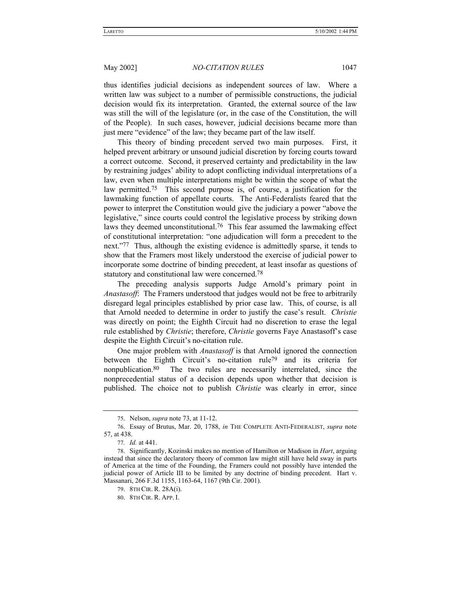thus identifies judicial decisions as independent sources of law. Where a written law was subject to a number of permissible constructions, the judicial decision would fix its interpretation. Granted, the external source of the law was still the will of the legislature (or, in the case of the Constitution, the will of the People). In such cases, however, judicial decisions became more than just mere "evidence" of the law; they became part of the law itself.

This theory of binding precedent served two main purposes. First, it helped prevent arbitrary or unsound judicial discretion by forcing courts toward a correct outcome. Second, it preserved certainty and predictability in the law by restraining judges' ability to adopt conflicting individual interpretations of a law, even when multiple interpretations might be within the scope of what the law permitted.75 This second purpose is, of course, a justification for the lawmaking function of appellate courts. The Anti-Federalists feared that the power to interpret the Constitution would give the judiciary a power "above the legislative," since courts could control the legislative process by striking down laws they deemed unconstitutional.76 This fear assumed the lawmaking effect of constitutional interpretation: "one adjudication will form a precedent to the next.<sup>77</sup> Thus, although the existing evidence is admittedly sparse, it tends to show that the Framers most likely understood the exercise of judicial power to incorporate some doctrine of binding precedent, at least insofar as questions of statutory and constitutional law were concerned.78

The preceding analysis supports Judge Arnold's primary point in *Anastasoff*: The Framers understood that judges would not be free to arbitrarily disregard legal principles established by prior case law. This, of course, is all that Arnold needed to determine in order to justify the case's result. *Christie* was directly on point; the Eighth Circuit had no discretion to erase the legal rule established by *Christie*; therefore, *Christie* governs Faye Anastasoff's case despite the Eighth Circuit's no-citation rule.

One major problem with *Anastasoff* is that Arnold ignored the connection between the Eighth Circuit's no-citation rule<sup>79</sup> and its criteria for nonpublication.80 The two rules are necessarily interrelated, since the nonprecedential status of a decision depends upon whether that decision is published. The choice not to publish *Christie* was clearly in error, since

<sup>75.</sup> Nelson, *supra* note 73, at 11-12.

<sup>76.</sup> Essay of Brutus, Mar. 20, 1788, *in* THE COMPLETE ANTI-FEDERALIST, *supra* note 57, at 438.

<sup>77</sup>*. Id.* at 441.

<sup>78.</sup> Significantly, Kozinski makes no mention of Hamilton or Madison in *Hart*, arguing instead that since the declaratory theory of common law might still have held sway in parts of America at the time of the Founding, the Framers could not possibly have intended the judicial power of Article III to be limited by any doctrine of binding precedent. Hart v. Massanari, 266 F.3d 1155, 1163-64, 1167 (9th Cir. 2001).

<sup>79. 8</sup>TH CIR. R. 28A(i).

<sup>80. 8</sup>TH CIR. R. APP. I.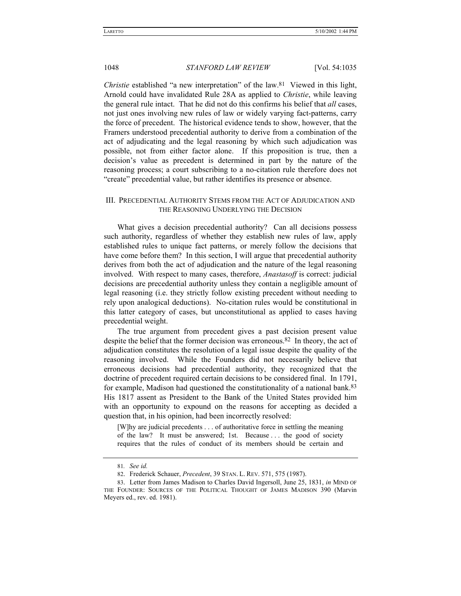*Christie* established "a new interpretation" of the law.<sup>81</sup> Viewed in this light, Arnold could have invalidated Rule 28A as applied to *Christie*, while leaving the general rule intact. That he did not do this confirms his belief that *all* cases, not just ones involving new rules of law or widely varying fact-patterns, carry the force of precedent. The historical evidence tends to show, however, that the Framers understood precedential authority to derive from a combination of the act of adjudicating and the legal reasoning by which such adjudication was possible, not from either factor alone. If this proposition is true, then a decision's value as precedent is determined in part by the nature of the reasoning process; a court subscribing to a no-citation rule therefore does not ìcreateî precedential value, but rather identifies its presence or absence.

# III. PRECEDENTIAL AUTHORITY STEMS FROM THE ACT OF ADJUDICATION AND THE REASONING UNDERLYING THE DECISION

What gives a decision precedential authority? Can all decisions possess such authority, regardless of whether they establish new rules of law, apply established rules to unique fact patterns, or merely follow the decisions that have come before them? In this section, I will argue that precedential authority derives from both the act of adjudication and the nature of the legal reasoning involved. With respect to many cases, therefore, *Anastasoff* is correct: judicial decisions are precedential authority unless they contain a negligible amount of legal reasoning (i.e. they strictly follow existing precedent without needing to rely upon analogical deductions). No-citation rules would be constitutional in this latter category of cases, but unconstitutional as applied to cases having precedential weight.

The true argument from precedent gives a past decision present value despite the belief that the former decision was erroneous.82 In theory, the act of adjudication constitutes the resolution of a legal issue despite the quality of the reasoning involved. While the Founders did not necessarily believe that erroneous decisions had precedential authority, they recognized that the doctrine of precedent required certain decisions to be considered final. In 1791, for example, Madison had questioned the constitutionality of a national bank.83 His 1817 assent as President to the Bank of the United States provided him with an opportunity to expound on the reasons for accepting as decided a question that, in his opinion, had been incorrectly resolved:

[W]hy are judicial precedents . . . of authoritative force in settling the meaning of the law? It must be answered; 1st. Because . . . the good of society requires that the rules of conduct of its members should be certain and

<sup>81</sup>*. See id.*

<sup>82.</sup> Frederick Schauer, *Precedent*, 39 STAN. L. REV. 571, 575 (1987).

<sup>83.</sup> Letter from James Madison to Charles David Ingersoll, June 25, 1831, *in* MIND OF THE FOUNDER: SOURCES OF THE POLITICAL THOUGHT OF JAMES MADISON 390 (Marvin Meyers ed., rev. ed. 1981).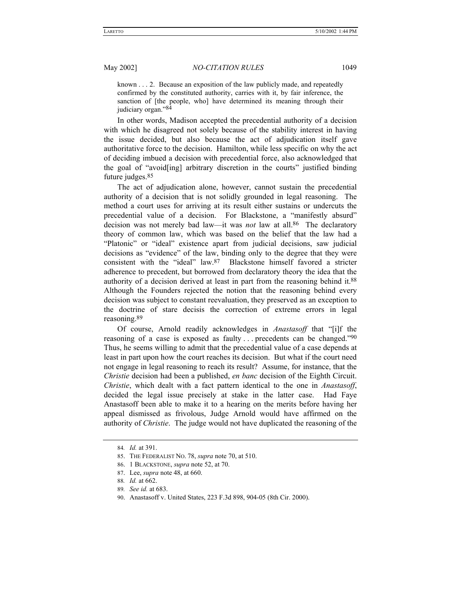known . . . 2. Because an exposition of the law publicly made, and repeatedly confirmed by the constituted authority, carries with it, by fair inference, the sanction of [the people, who] have determined its meaning through their judiciary organ."84

In other words, Madison accepted the precedential authority of a decision with which he disagreed not solely because of the stability interest in having the issue decided, but also because the act of adjudication itself gave authoritative force to the decision. Hamilton, while less specific on why the act of deciding imbued a decision with precedential force, also acknowledged that the goal of "avoid[ing] arbitrary discretion in the courts" justified binding future judges.85

The act of adjudication alone, however, cannot sustain the precedential authority of a decision that is not solidly grounded in legal reasoning. The method a court uses for arriving at its result either sustains or undercuts the precedential value of a decision. For Blackstone, a "manifestly absurd" decision was not merely bad law—it was *not* law at all.<sup>86</sup> The declaratory theory of common law, which was based on the belief that the law had a "Platonic" or "ideal" existence apart from judicial decisions, saw judicial decisions as "evidence" of the law, binding only to the degree that they were consistent with the "ideal"  $law<sup>87</sup>$  Blackstone himself favored a stricter adherence to precedent, but borrowed from declaratory theory the idea that the authority of a decision derived at least in part from the reasoning behind it.88 Although the Founders rejected the notion that the reasoning behind every decision was subject to constant reevaluation, they preserved as an exception to the doctrine of stare decisis the correction of extreme errors in legal reasoning.89

Of course, Arnold readily acknowledges in *Anastasoff* that "[i]f the reasoning of a case is exposed as faulty  $\ldots$  precedents can be changed.<sup>790</sup> Thus, he seems willing to admit that the precedential value of a case depends at least in part upon how the court reaches its decision. But what if the court need not engage in legal reasoning to reach its result? Assume, for instance, that the *Christie* decision had been a published, *en banc* decision of the Eighth Circuit. *Christie*, which dealt with a fact pattern identical to the one in *Anastasoff*, decided the legal issue precisely at stake in the latter case. Had Faye Anastasoff been able to make it to a hearing on the merits before having her appeal dismissed as frivolous, Judge Arnold would have affirmed on the authority of *Christie*. The judge would not have duplicated the reasoning of the

<sup>84</sup>*. Id.* at 391.

<sup>85.</sup> THE FEDERALIST NO. 78, *supra* note 70, at 510.

<sup>86. 1</sup> BLACKSTONE, *supra* note 52, at 70.

<sup>87.</sup> Lee, *supra* note 48, at 660.

<sup>88</sup>*. Id.* at 662.

<sup>89</sup>*. See id.* at 683.

<sup>90.</sup> Anastasoff v. United States, 223 F.3d 898, 904-05 (8th Cir. 2000).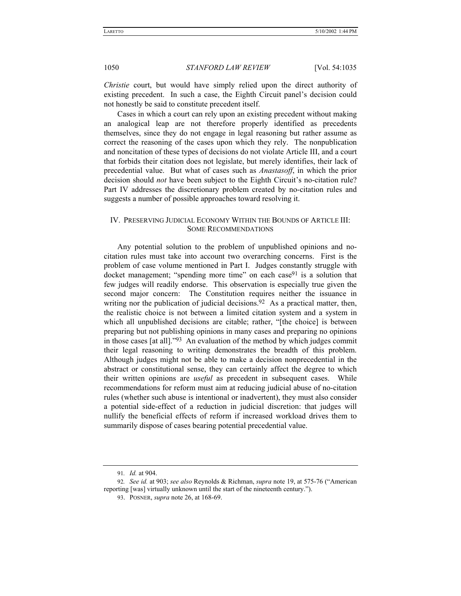*Christie* court, but would have simply relied upon the direct authority of existing precedent. In such a case, the Eighth Circuit panel's decision could not honestly be said to constitute precedent itself.

Cases in which a court can rely upon an existing precedent without making an analogical leap are not therefore properly identified as precedents themselves, since they do not engage in legal reasoning but rather assume as correct the reasoning of the cases upon which they rely. The nonpublication and noncitation of these types of decisions do not violate Article III, and a court that forbids their citation does not legislate, but merely identifies, their lack of precedential value. But what of cases such as *Anastasoff*, in which the prior decision should *not* have been subject to the Eighth Circuit's no-citation rule? Part IV addresses the discretionary problem created by no-citation rules and suggests a number of possible approaches toward resolving it.

# IV. PRESERVING JUDICIAL ECONOMY WITHIN THE BOUNDS OF ARTICLE III: SOME RECOMMENDATIONS

Any potential solution to the problem of unpublished opinions and nocitation rules must take into account two overarching concerns. First is the problem of case volume mentioned in Part I. Judges constantly struggle with docket management; "spending more time" on each case<sup>91</sup> is a solution that few judges will readily endorse. This observation is especially true given the second major concern: The Constitution requires neither the issuance in writing nor the publication of judicial decisions.<sup>92</sup> As a practical matter, then, the realistic choice is not between a limited citation system and a system in which all unpublished decisions are citable; rather, "[the choice] is between preparing but not publishing opinions in many cases and preparing no opinions in those cases [at all].<sup> $393$ </sup> An evaluation of the method by which judges commit their legal reasoning to writing demonstrates the breadth of this problem. Although judges might not be able to make a decision nonprecedential in the abstract or constitutional sense, they can certainly affect the degree to which their written opinions are *useful* as precedent in subsequent cases. While recommendations for reform must aim at reducing judicial abuse of no-citation rules (whether such abuse is intentional or inadvertent), they must also consider a potential side-effect of a reduction in judicial discretion: that judges will nullify the beneficial effects of reform if increased workload drives them to summarily dispose of cases bearing potential precedential value.

<sup>91</sup>*. Id.* at 904.

<sup>92.</sup> See id. at 903; see also Reynolds & Richman, *supra* note 19, at 575-76 ("American reporting [was] virtually unknown until the start of the nineteenth century.").

<sup>93.</sup> POSNER, *supra* note 26, at 168-69.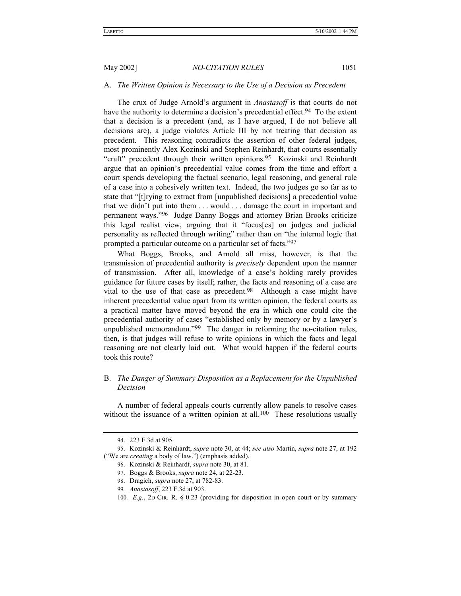# A. *The Written Opinion is Necessary to the Use of a Decision as Precedent*

The crux of Judge Arnold's argument in *Anastasoff* is that courts do not have the authority to determine a decision's precedential effect.<sup>94</sup> To the extent that a decision is a precedent (and, as I have argued, I do not believe all decisions are), a judge violates Article III by not treating that decision as precedent. This reasoning contradicts the assertion of other federal judges, most prominently Alex Kozinski and Stephen Reinhardt, that courts essentially "craft" precedent through their written opinions.<sup>95</sup> Kozinski and Reinhardt argue that an opinionís precedential value comes from the time and effort a court spends developing the factual scenario, legal reasoning, and general rule of a case into a cohesively written text. Indeed, the two judges go so far as to state that "[t]rying to extract from [unpublished decisions] a precedential value that we didn't put into them  $\dots$  would  $\dots$  damage the court in important and permanent ways."<sup>96</sup> Judge Danny Boggs and attorney Brian Brooks criticize this legal realist view, arguing that it "focus[es] on judges and judicial personality as reflected through writing" rather than on "the internal logic that prompted a particular outcome on a particular set of facts.<sup>797</sup>

What Boggs, Brooks, and Arnold all miss, however, is that the transmission of precedential authority is *precisely* dependent upon the manner of transmission. After all, knowledge of a case's holding rarely provides guidance for future cases by itself; rather, the facts and reasoning of a case are vital to the use of that case as precedent.98 Although a case might have inherent precedential value apart from its written opinion, the federal courts as a practical matter have moved beyond the era in which one could cite the precedential authority of cases "established only by memory or by a lawyer's unpublished memorandum.<sup> $99$ </sup> The danger in reforming the no-citation rules, then, is that judges will refuse to write opinions in which the facts and legal reasoning are not clearly laid out. What would happen if the federal courts took this route?

# B. *The Danger of Summary Disposition as a Replacement for the Unpublished Decision*

A number of federal appeals courts currently allow panels to resolve cases without the issuance of a written opinion at all.<sup>100</sup> These resolutions usually

<sup>94. 223</sup> F.3d at 905.

<sup>95.</sup> Kozinski & Reinhardt, *supra* note 30, at 44; *see also* Martin, *supra* note 27, at 192 ("We are *creating* a body of law.") (emphasis added).

<sup>96.</sup> Kozinski & Reinhardt, *supra* note 30, at 81.

<sup>97.</sup> Boggs & Brooks, *supra* note 24, at 22-23.

<sup>98.</sup> Dragich, *supra* note 27, at 782-83.

<sup>99</sup>*. Anastasoff*, 223 F.3d at 903.

<sup>100</sup>*. E.g.*, 2D CIR. R. ß 0.23 (providing for disposition in open court or by summary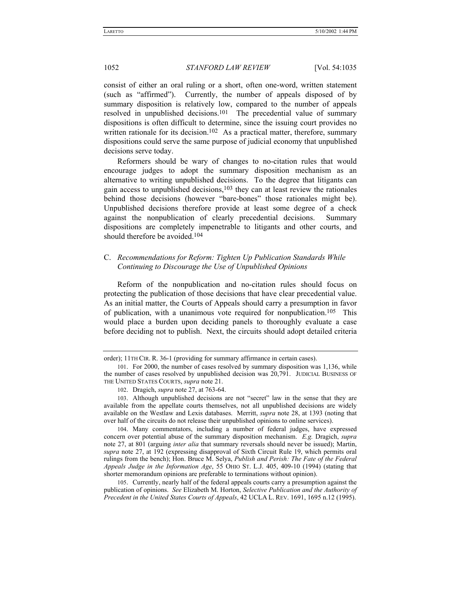consist of either an oral ruling or a short, often one-word, written statement (such as "affirmed"). Currently, the number of appeals disposed of by summary disposition is relatively low, compared to the number of appeals resolved in unpublished decisions.101 The precedential value of summary dispositions is often difficult to determine, since the issuing court provides no written rationale for its decision.<sup>102</sup> As a practical matter, therefore, summary dispositions could serve the same purpose of judicial economy that unpublished decisions serve today.

Reformers should be wary of changes to no-citation rules that would encourage judges to adopt the summary disposition mechanism as an alternative to writing unpublished decisions. To the degree that litigants can gain access to unpublished decisions, $103$  they can at least review the rationales behind those decisions (however "bare-bones" those rationales might be). Unpublished decisions therefore provide at least some degree of a check against the nonpublication of clearly precedential decisions. Summary dispositions are completely impenetrable to litigants and other courts, and should therefore be avoided.104

# C. *Recommendations for Reform: Tighten Up Publication Standards While Continuing to Discourage the Use of Unpublished Opinions*

Reform of the nonpublication and no-citation rules should focus on protecting the publication of those decisions that have clear precedential value. As an initial matter, the Courts of Appeals should carry a presumption in favor of publication, with a unanimous vote required for nonpublication.105 This would place a burden upon deciding panels to thoroughly evaluate a case before deciding not to publish. Next, the circuits should adopt detailed criteria

order); 11TH CIR. R. 36-1 (providing for summary affirmance in certain cases).

<sup>101.</sup> For 2000, the number of cases resolved by summary disposition was 1,136, while the number of cases resolved by unpublished decision was 20,791. JUDICIAL BUSINESS OF THE UNITED STATES COURTS, *supra* note 21.

<sup>102.</sup> Dragich, *supra* note 27, at 763-64.

<sup>103.</sup> Although unpublished decisions are not "secret" law in the sense that they are available from the appellate courts themselves, not all unpublished decisions are widely available on the Westlaw and Lexis databases. Merritt, *supra* note 28, at 1393 (noting that over half of the circuits do not release their unpublished opinions to online services).

<sup>104.</sup> Many commentators, including a number of federal judges, have expressed concern over potential abuse of the summary disposition mechanism. *E.g.* Dragich, *supra* note 27, at 801 (arguing *inter alia* that summary reversals should never be issued); Martin, *supra* note 27, at 192 (expressing disapproval of Sixth Circuit Rule 19, which permits oral rulings from the bench); Hon. Bruce M. Selya, *Publish and Perish: The Fate of the Federal Appeals Judge in the Information Age*, 55 OHIO ST. L.J. 405, 409-10 (1994) (stating that shorter memorandum opinions are preferable to terminations without opinion).

<sup>105.</sup> Currently, nearly half of the federal appeals courts carry a presumption against the publication of opinions. *See* Elizabeth M. Horton, *Selective Publication and the Authority of Precedent in the United States Courts of Appeals*, 42 UCLA L. REV. 1691, 1695 n.12 (1995).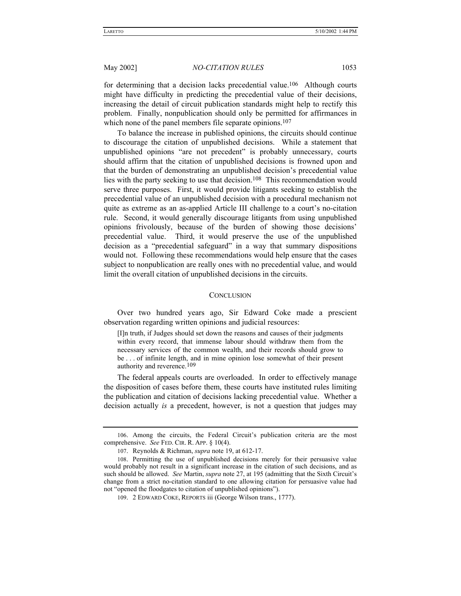for determining that a decision lacks precedential value.<sup>106</sup> Although courts might have difficulty in predicting the precedential value of their decisions, increasing the detail of circuit publication standards might help to rectify this problem. Finally, nonpublication should only be permitted for affirmances in which none of the panel members file separate opinions.<sup>107</sup>

To balance the increase in published opinions, the circuits should continue to discourage the citation of unpublished decisions. While a statement that unpublished opinions "are not precedent" is probably unnecessary, courts should affirm that the citation of unpublished decisions is frowned upon and that the burden of demonstrating an unpublished decision's precedential value lies with the party seeking to use that decision.108 This recommendation would serve three purposes. First, it would provide litigants seeking to establish the precedential value of an unpublished decision with a procedural mechanism not quite as extreme as an as-applied Article III challenge to a court's no-citation rule. Second, it would generally discourage litigants from using unpublished opinions frivolously, because of the burden of showing those decisions' precedential value. Third, it would preserve the use of the unpublished decision as a "precedential safeguard" in a way that summary dispositions would not. Following these recommendations would help ensure that the cases subject to nonpublication are really ones with no precedential value, and would limit the overall citation of unpublished decisions in the circuits.

### **CONCLUSION**

Over two hundred years ago, Sir Edward Coke made a prescient observation regarding written opinions and judicial resources:

[I]n truth, if Judges should set down the reasons and causes of their judgments within every record, that immense labour should withdraw them from the necessary services of the common wealth, and their records should grow to be . . . of infinite length, and in mine opinion lose somewhat of their present authority and reverence.109

The federal appeals courts are overloaded. In order to effectively manage the disposition of cases before them, these courts have instituted rules limiting the publication and citation of decisions lacking precedential value. Whether a decision actually *is* a precedent, however, is not a question that judges may

<sup>106.</sup> Among the circuits, the Federal Circuit's publication criteria are the most comprehensive. *See* FED. CIR. R. APP. ß 10(4).

<sup>107.</sup> Reynolds & Richman, *supra* note 19, at 612-17.

<sup>108.</sup> Permitting the use of unpublished decisions merely for their persuasive value would probably not result in a significant increase in the citation of such decisions, and as such should be allowed. *See* Martin, *supra* note 27, at 195 (admitting that the Sixth Circuitís change from a strict no-citation standard to one allowing citation for persuasive value had not "opened the floodgates to citation of unpublished opinions").

<sup>109. 2</sup> EDWARD COKE, REPORTS iii (George Wilson trans., 1777).